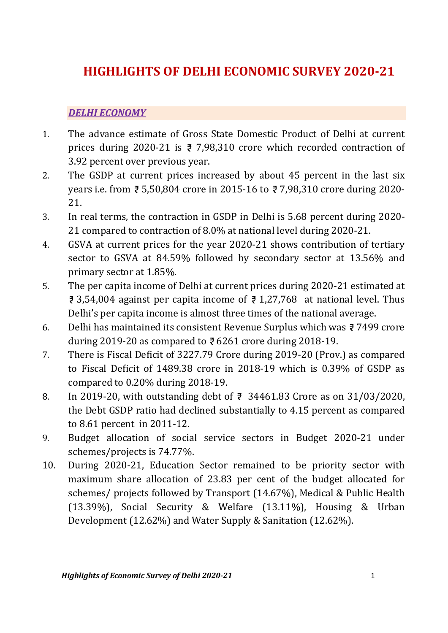# HIGHLIGHTS OF DELHI ECONOMIC SURVEY 2020-21

#### DELHI ECONOMY

- 1. The advance estimate of Gross State Domestic Product of Delhi at current prices during 2020-21 is  $\overline{z}$  7,98,310 crore which recorded contraction of 3.92 percent over previous year.
- 2. The GSDP at current prices increased by about 45 percent in the last six years i.e. from 5,50,804 crore in 2015-16 to 7,98,310 crore during 2020- 21.
- 3. In real terms, the contraction in GSDP in Delhi is 5.68 percent during 2020- 21 compared to contraction of 8.0% at national level during 2020-21.
- 4. GSVA at current prices for the year 2020-21 shows contribution of tertiary sector to GSVA at 84.59% followed by secondary sector at 13.56% and primary sector at 1.85%.
- 5. The per capita income of Delhi at current prices during 2020-21 estimated at  $\overline{3}$ ,54,004 against per capita income of  $\overline{3}$ , 1,27,768 at national level. Thus Delhi's per capita income is almost three times of the national average.
- 6. Delhi has maintained its consistent Revenue Surplus which was  $\bar{z}$  7499 crore during 2019-20 as compared to  $\overline{e}$  6261 crore during 2018-19.
- 7. There is Fiscal Deficit of 3227.79 Crore during 2019-20 (Prov.) as compared to Fiscal Deficit of 1489.38 crore in 2018-19 which is 0.39% of GSDP as compared to 0.20% during 2018-19.
- 8. In 2019-20, with outstanding debt of  $\bar{z}$  34461.83 Crore as on 31/03/2020, the Debt GSDP ratio had declined substantially to 4.15 percent as compared to 8.61 percent in 2011-12.
- 9. Budget allocation of social service sectors in Budget 2020-21 under schemes/projects is 74.77%.
- 10. During 2020-21, Education Sector remained to be priority sector with maximum share allocation of 23.83 per cent of the budget allocated for schemes/ projects followed by Transport (14.67%), Medical & Public Health (13.39%), Social Security & Welfare (13.11%), Housing & Urban Development (12.62%) and Water Supply & Sanitation (12.62%).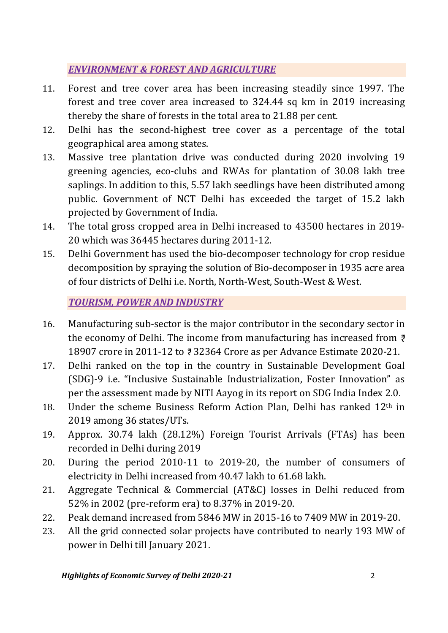## ENVIRONMENT & FOREST AND AGRICULTURE

- 11. Forest and tree cover area has been increasing steadily since 1997. The forest and tree cover area increased to 324.44 sq km in 2019 increasing thereby the share of forests in the total area to 21.88 per cent.
- 12. Delhi has the second-highest tree cover as a percentage of the total geographical area among states.
- 13. Massive tree plantation drive was conducted during 2020 involving 19 greening agencies, eco-clubs and RWAs for plantation of 30.08 lakh tree saplings. In addition to this, 5.57 lakh seedlings have been distributed among public. Government of NCT Delhi has exceeded the target of 15.2 lakh projected by Government of India.
- 14. The total gross cropped area in Delhi increased to 43500 hectares in 2019- 20 which was 36445 hectares during 2011-12.
- 15. Delhi Government has used the bio-decomposer technology for crop residue decomposition by spraying the solution of Bio-decomposer in 1935 acre area of four districts of Delhi i.e. North, North-West, South-West & West.

TOURISM, POWER AND INDUSTRY

- 16. Manufacturing sub-sector is the major contributor in the secondary sector in the economy of Delhi. The income from manufacturing has increased from  $\bar{z}$ 18907 crore in 2011-12 to 32364 Crore as per Advance Estimate 2020-21.
- 17. Delhi ranked on the top in the country in Sustainable Development Goal (SDG)-9 i.e. "Inclusive Sustainable Industrialization, Foster Innovation" as per the assessment made by NITI Aayog in its report on SDG India Index 2.0.
- 18. Under the scheme Business Reform Action Plan, Delhi has ranked  $12<sup>th</sup>$  in 2019 among 36 states/UTs.
- 19. Approx. 30.74 lakh (28.12%) Foreign Tourist Arrivals (FTAs) has been recorded in Delhi during 2019
- 20. During the period 2010-11 to 2019-20, the number of consumers of electricity in Delhi increased from 40.47 lakh to 61.68 lakh.
- 21. Aggregate Technical & Commercial (AT&C) losses in Delhi reduced from 52% in 2002 (pre-reform era) to 8.37% in 2019-20.
- 22. Peak demand increased from 5846 MW in 2015-16 to 7409 MW in 2019-20.
- 23. All the grid connected solar projects have contributed to nearly 193 MW of power in Delhi till January 2021.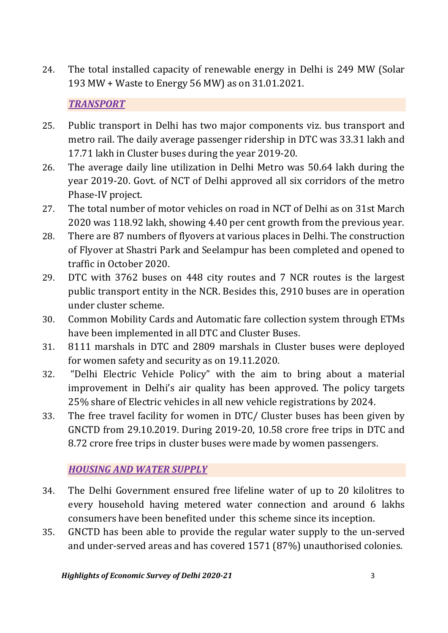24. The total installed capacity of renewable energy in Delhi is 249 MW (Solar 193 MW + Waste to Energy 56 MW) as on 31.01.2021.

#### **TRANSPORT**

- 25. Public transport in Delhi has two major components viz. bus transport and metro rail. The daily average passenger ridership in DTC was 33.31 lakh and 17.71 lakh in Cluster buses during the year 2019-20.
- 26. The average daily line utilization in Delhi Metro was 50.64 lakh during the year 2019-20. Govt. of NCT of Delhi approved all six corridors of the metro Phase-IV project.
- 27. The total number of motor vehicles on road in NCT of Delhi as on 31st March 2020 was 118.92 lakh, showing 4.40 per cent growth from the previous year.
- 28. There are 87 numbers of flyovers at various places in Delhi. The construction of Flyover at Shastri Park and Seelampur has been completed and opened to traffic in October 2020.
- 29. DTC with 3762 buses on 448 city routes and 7 NCR routes is the largest public transport entity in the NCR. Besides this, 2910 buses are in operation under cluster scheme.
- 30. Common Mobility Cards and Automatic fare collection system through ETMs have been implemented in all DTC and Cluster Buses.
- 31. 8111 marshals in DTC and 2809 marshals in Cluster buses were deployed for women safety and security as on 19.11.2020.
- 32. "Delhi Electric Vehicle Policy" with the aim to bring about a material improvement in Delhi's air quality has been approved. The policy targets 25% share of Electric vehicles in all new vehicle registrations by 2024.
- 33. The free travel facility for women in DTC/ Cluster buses has been given by GNCTD from 29.10.2019. During 2019-20, 10.58 crore free trips in DTC and 8.72 crore free trips in cluster buses were made by women passengers.

## HOUSING AND WATER SUPPLY

- 34. The Delhi Government ensured free lifeline water of up to 20 kilolitres to every household having metered water connection and around 6 lakhs consumers have been benefited under this scheme since its inception.
- 35. GNCTD has been able to provide the regular water supply to the un-served and under-served areas and has covered 1571 (87%) unauthorised colonies.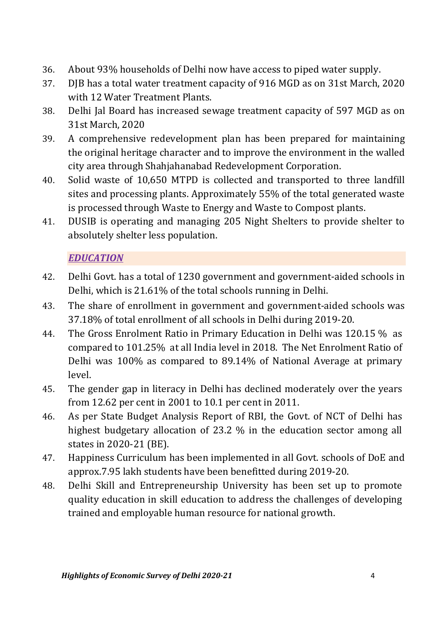- 36. About 93% households of Delhi now have access to piped water supply.
- 37. DJB has a total water treatment capacity of 916 MGD as on 31st March, 2020 with 12 Water Treatment Plants.
- 38. Delhi Jal Board has increased sewage treatment capacity of 597 MGD as on 31st March, 2020
- 39. A comprehensive redevelopment plan has been prepared for maintaining the original heritage character and to improve the environment in the walled city area through Shahjahanabad Redevelopment Corporation.
- 40. Solid waste of 10,650 MTPD is collected and transported to three landfill sites and processing plants. Approximately 55% of the total generated waste is processed through Waste to Energy and Waste to Compost plants.
- 41. DUSIB is operating and managing 205 Night Shelters to provide shelter to absolutely shelter less population.

#### **EDUCATION**

- 42. Delhi Govt. has a total of 1230 government and government-aided schools in Delhi, which is 21.61% of the total schools running in Delhi.
- 43. The share of enrollment in government and government-aided schools was 37.18% of total enrollment of all schools in Delhi during 2019-20.
- 44. The Gross Enrolment Ratio in Primary Education in Delhi was 120.15 % as compared to 101.25% at all India level in 2018. The Net Enrolment Ratio of Delhi was 100% as compared to 89.14% of National Average at primary level.
- 45. The gender gap in literacy in Delhi has declined moderately over the years from 12.62 per cent in 2001 to 10.1 per cent in 2011.
- 46. As per State Budget Analysis Report of RBI, the Govt. of NCT of Delhi has highest budgetary allocation of 23.2 % in the education sector among all states in 2020-21 (BE).
- 47. Happiness Curriculum has been implemented in all Govt. schools of DoE and approx.7.95 lakh students have been benefitted during 2019-20.
- 48. Delhi Skill and Entrepreneurship University has been set up to promote quality education in skill education to address the challenges of developing trained and employable human resource for national growth.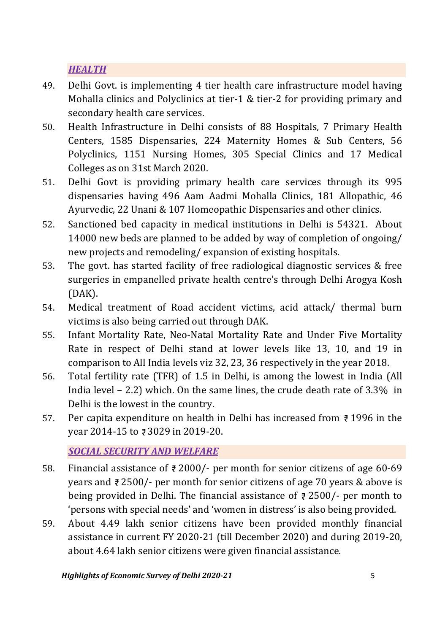## **HEALTH**

- 49. Delhi Govt. is implementing 4 tier health care infrastructure model having Mohalla clinics and Polyclinics at tier-1 & tier-2 for providing primary and secondary health care services.
- 50. Health Infrastructure in Delhi consists of 88 Hospitals, 7 Primary Health Centers, 1585 Dispensaries, 224 Maternity Homes & Sub Centers, 56 Polyclinics, 1151 Nursing Homes, 305 Special Clinics and 17 Medical Colleges as on 31st March 2020.
- 51. Delhi Govt is providing primary health care services through its 995 dispensaries having 496 Aam Aadmi Mohalla Clinics, 181 Allopathic, 46 Ayurvedic, 22 Unani & 107 Homeopathic Dispensaries and other clinics.
- 52. Sanctioned bed capacity in medical institutions in Delhi is 54321. About 14000 new beds are planned to be added by way of completion of ongoing/ new projects and remodeling/ expansion of existing hospitals.
- 53. The govt. has started facility of free radiological diagnostic services & free surgeries in empanelled private health centre's through Delhi Arogya Kosh (DAK).
- 54. Medical treatment of Road accident victims, acid attack/ thermal burn victims is also being carried out through DAK.
- 55. Infant Mortality Rate, Neo-Natal Mortality Rate and Under Five Mortality Rate in respect of Delhi stand at lower levels like 13, 10, and 19 in comparison to All India levels viz 32, 23, 36 respectively in the year 2018.
- 56. Total fertility rate (TFR) of 1.5 in Delhi, is among the lowest in India (All India level – 2.2) which. On the same lines, the crude death rate of 3.3% in Delhi is the lowest in the country.
- 57. Per capita expenditure on health in Delhi has increased from  $\bar{z}$  1996 in the year 2014-15 to ₹3029 in 2019-20.

## SOCIAL SECURITY AND WELFARE

- 58. Financial assistance of  $\bar{\tau}$  2000/- per month for senior citizens of age 60-69 years and  $\overline{z}$  2500/- per month for senior citizens of age 70 years & above is being provided in Delhi. The financial assistance of  $\bar{\sigma}$  2500/- per month to 'persons with special needs' and 'women in distress' is also being provided.
- 59. About 4.49 lakh senior citizens have been provided monthly financial assistance in current FY 2020-21 (till December 2020) and during 2019-20, about 4.64 lakh senior citizens were given financial assistance.

Highlights of Economic Survey of Delhi 2020-21 5